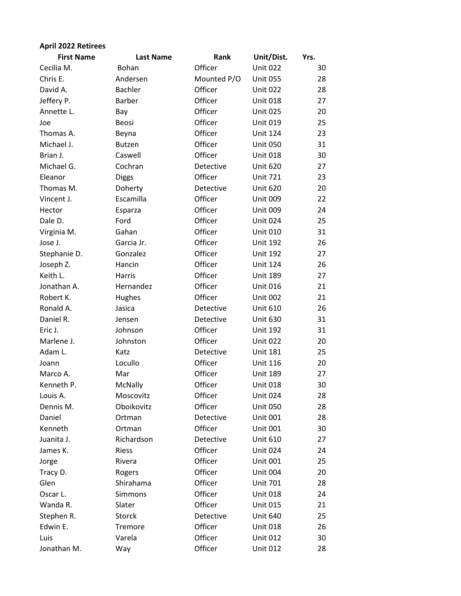| <b>April 2022 Retirees</b> |                  |             |                 |      |
|----------------------------|------------------|-------------|-----------------|------|
| <b>First Name</b>          | <b>Last Name</b> | Rank        | Unit/Dist.      | Yrs. |
| Cecilia M.                 | Bohan            | Officer     | <b>Unit 022</b> | 30   |
| Chris E.                   | Andersen         | Mounted P/O | <b>Unit 055</b> | 28   |
| David A.                   | <b>Bachler</b>   | Officer     | <b>Unit 022</b> | 28   |
| Jeffery P.                 | <b>Barber</b>    | Officer     | <b>Unit 018</b> | 27   |
| Annette L.                 | Bay              | Officer     | <b>Unit 025</b> | 20   |
| Joe                        | Beosi            | Officer     | <b>Unit 019</b> | 25   |
| Thomas A.                  | Beyna            | Officer     | <b>Unit 124</b> | 23   |
| Michael J.                 | <b>Butzen</b>    | Officer     | <b>Unit 050</b> | 31   |
| Brian J.                   | Caswell          | Officer     | <b>Unit 018</b> | 30   |
| Michael G.                 | Cochran          | Detective   | <b>Unit 620</b> | 27   |
| Eleanor                    | <b>Diggs</b>     | Officer     | <b>Unit 721</b> | 23   |
| Thomas M.                  | Doherty          | Detective   | <b>Unit 620</b> | 20   |
| Vincent J.                 | Escamilla        | Officer     | <b>Unit 009</b> | 22   |
| Hector                     | Esparza          | Officer     | <b>Unit 009</b> | 24   |
| Dale D.                    | Ford             | Officer     | <b>Unit 024</b> | 25   |
| Virginia M.                | Gahan            | Officer     | <b>Unit 010</b> | 31   |
| Jose J.                    | Garcia Jr.       | Officer     | <b>Unit 192</b> | 26   |
| Stephanie D.               | Gonzalez         | Officer     | <b>Unit 192</b> | 27   |
| Joseph Z.                  | Hancin           | Officer     | <b>Unit 124</b> | 26   |
| Keith L.                   | Harris           | Officer     | <b>Unit 189</b> | 27   |
| Jonathan A.                | Hernandez        | Officer     | <b>Unit 016</b> | 21   |
| Robert K.                  | Hughes           | Officer     | <b>Unit 002</b> | 21   |
| Ronald A.                  | Jasica           | Detective   | <b>Unit 610</b> | 26   |
| Daniel R.                  | Jensen           | Detective   | <b>Unit 630</b> | 31   |
| Eric J.                    | Johnson          | Officer     | <b>Unit 192</b> | 31   |
| Marlene J.                 | Johnston         | Officer     | <b>Unit 022</b> | 20   |
| Adam L.                    | Katz             | Detective   | <b>Unit 181</b> | 25   |
| Joann                      | Locullo          | Officer     | <b>Unit 116</b> | 20   |
| Marco A.                   | Mar              | Officer     | <b>Unit 189</b> | 27   |
| Kenneth P.                 | McNally          | Officer     | <b>Unit 018</b> | 30   |
| Louis A.                   | Moscovitz        | Officer     | <b>Unit 024</b> | 28   |
| Dennis M.                  | Oboikovitz       | Officer     | <b>Unit 050</b> | 28   |
| Daniel                     | Ortman           | Detective   | <b>Unit 001</b> | 28   |
| Kenneth                    | Ortman           | Officer     | <b>Unit 001</b> | 30   |
| Juanita J.                 | Richardson       | Detective   | <b>Unit 610</b> | 27   |
| James K.                   | <b>Riess</b>     | Officer     | <b>Unit 024</b> | 24   |
| Jorge                      | Rivera           | Officer     | <b>Unit 001</b> | 25   |
| Tracy D.                   | Rogers           | Officer     | <b>Unit 004</b> | 20   |
| Glen                       | Shirahama        | Officer     | Unit 701        | 28   |
| Oscar L.                   | Simmons          | Officer     | <b>Unit 018</b> | 24   |
| Wanda R.                   | Slater           | Officer     | <b>Unit 015</b> | 21   |
| Stephen R.                 | <b>Storck</b>    | Detective   | <b>Unit 640</b> | 25   |
| Edwin E.                   | Tremore          | Officer     | <b>Unit 018</b> | 26   |
| Luis                       | Varela           | Officer     | <b>Unit 012</b> | 30   |
| Jonathan M.                | Way              | Officer     | <b>Unit 012</b> | 28   |